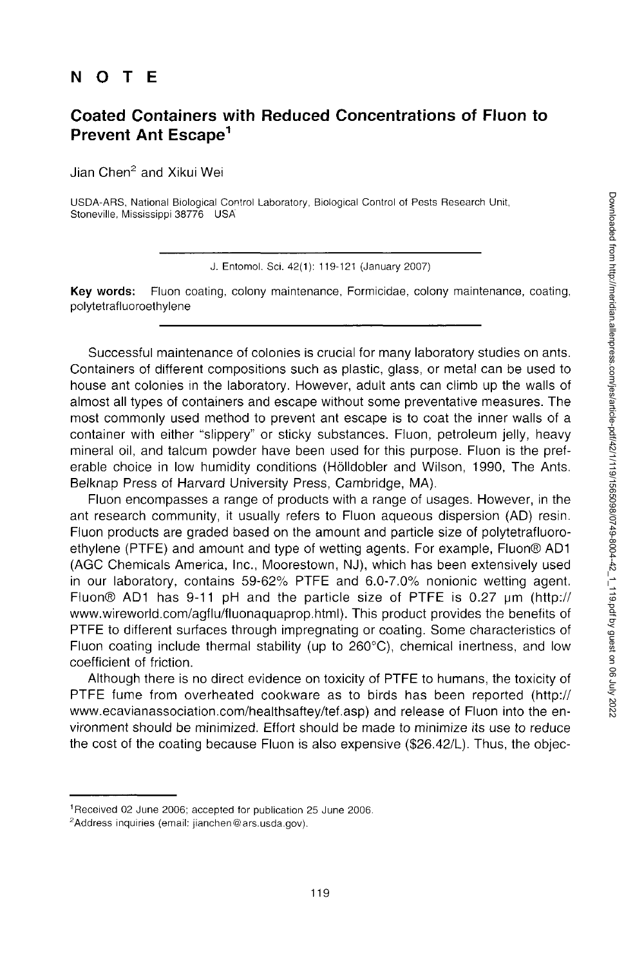## NOT E

## **Coated Containers with Reduced Concentrations of Fluon to Prevent Ant Escape<sup>1</sup>**

Jian Chen2 and Xikui Wei

USDA-ARS, National Biological Control Laboratory, Biological Control of Pests Research Unit, Stoneville, Mississippi 38776 USA'

J. Entomol. Sci. 42(1): 119-121 (January 2007)

**Key words:** Fluon coating, colony maintenance, Formicidae, colony maintenance, coating, polytetrafluoroethylene

Successful maintenance of colonies is crucial for many laboratory studies on ants. Containers of different compositions such as plastic, glass, or metal can be used to house ant colonies in the laboratory. However, adult ants can climb up the walls of almost all types of containers and escape without some preventative measures. The most commonly used method to prevent ant escape is to coat the inner walls of a container with either "slippery" or sticky substances. Fluon, petroleum jelly, heavy mineral oil, and talcum powder have been used for this purpose. Fluon is the preferable choice in low humidity conditions (Holldobler and Wilson, 1990, The Ants. Belknap Press of Harvard University Press, Cambridge, MA).

Fluon encompasses a range of products with a range of usages. However, in the ant research community, it usually refers to Fluon aqueous dispersion (AD) resin. Fluon products are graded based on the amount and particle size of polytetrafluoroethylene (PTFE) and amount and type of wetting agents. For example, Fluon® AD1 (AGC Chemicals America, Inc., Moorestown, NJ), which has been extensively used in our laboratory, contains 59-62% PTFE and 6.0-7.0% nonionic wetting agent. Fluon $\odot$  AD1 has 9-11 pH and the particle size of PTFE is 0.27  $\mu$ m (http:// [www.wireworld.com/agflu/fluonaquaprop.html\)](http://www.wireworld.com/agflu/fluonaquaprop.html). This product provides the benefits of PTFE to different surfaces through impregnating or coating. Some characteristics of Fluon coating include thermal stability (up to 260°C), chemical inertness, and low coefficient of friction.

Although there is no direct evidence on toxicity of PTFE to humans, the toxicity of PTFE fume from overheated cookware as to birds has been reported (http:// [www.ecavianassociation.com/healthsaftey/tef.asp\)](http://www.ecavianassociation.com/healthsaftey/tef.asp) and release of Fluon into the environment should be minimized. Effort should be made to minimize its use to reduce the cost of the coating because Fluon is also expensive (\$26.42/L). Thus, the objec-

<sup>1</sup> Received 02 June 2006; accepted for publication 25 June 2006.

<sup>2</sup>Address inquiries (email: [jianchen@ars.usda.gov\)](mailto:jianchen@ars.usda.gov).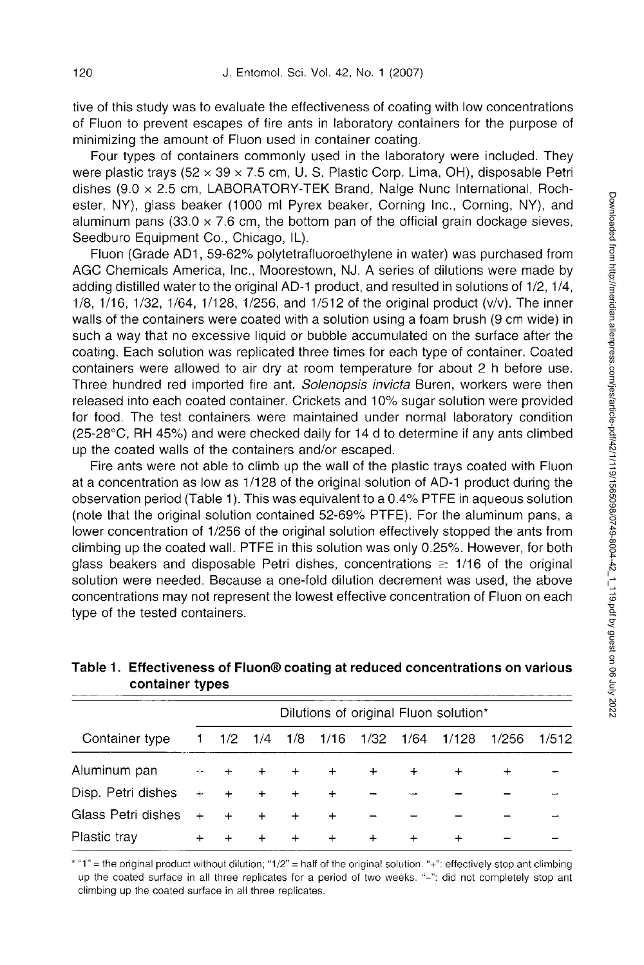tive of this study was to evaluate the effectiveness of coating with low concentrations of Fluon to prevent escapes of fire ants in laboratory containers for the purpose of minimizing the amount of Fluon used in container coating.

Four types of containers commonly used in the laboratory were included. They were plastic trays ( $52 \times 39 \times 7.5$  cm, U. S. Plastic Corp. Lima, OH), disposable Petri dishes (9.0 x 2.5 cm, LABORATORY-TEK Brand, Nalge Nunc International, Rochester, NY), glass beaker (1000 ml Pyrex beaker, Corning Inc., Corning, NY), and aluminum pans  $(33.0 \times 7.6 \text{ cm}, \text{ the bottom pan of the official grain clockwise.})$ Seedburo Equipment Co., Chicago, IL).

Fluon (Grade AD1, 59-62% polytetrafluoroethylene in water) was purchased from AGC Chemicals America, Inc., Moorestown, NJ. A series of dilutions were made by adding distilled water to the original AD-1 product, and resulted in solutions of 1/2,1/4, 1/8, 1/16, 1/32, 1/64, 1/128, 1/256, and 1/512 of the original product (v/v). The inner walls of the containers were coated with a solution using a foam brush (9 cm wide) in such a way that no excessive liquid or bubble accumulated on the surface after the coating. Each solution was replicated three times for each type of container. Coated containers were allowed to air dry at room temperature for about 2 h before use. Three hundred red imported fire ant, *Solenopsis invicta* Buren, workers were then released into each coated container. Crickets and 10% sugar solution were provided for food. The test containers were maintained under normal laboratory condition (25-28°C, RH 45%) and were checked daily for 14 d to determine if any ants climbed up the coated walls of the containers and/or escaped.

Fire ants were not able to climb up the wall of the plastic trays coated with Fluon at a concentration as low as 1/128 of the original solution of AD-1 product during the observation period (Table 1). This was equivalent to a 0.4% PTFE in aqueous solution (note that the original solution contained 52-69% PTFE). For the aluminum pans, a lower concentration of 1/256 of the original solution effectively stopped the ants from climbing up the coated wall. PTFE in this solution was only 0.25%. However, for both glass beakers and disposable Petri dishes, concentrations  $\geq 1/16$  of the original solution were needed. Because a one-fold dilution decrement was used, the above concentrations may not represent the lowest effective concentration of Fluon on each type of the tested containers.

| Container type     | Dilutions of original Fluon solution* |     |     |     |           |           |           |           |        |       |
|--------------------|---------------------------------------|-----|-----|-----|-----------|-----------|-----------|-----------|--------|-------|
|                    | 1.                                    | 1/2 | 1/4 | 1/8 | 1/16      | 1/32 1/64 |           | 1/128     | 1/256  | 1/512 |
| Aluminum pan       | ÷                                     | $+$ | $+$ | $+$ | $+$       | $+$       | $\ddot{}$ | $\ddot{}$ | $\div$ |       |
| Disp. Petri dishes | $+$                                   | $+$ | $+$ | $+$ | $\ddot{}$ |           |           |           |        |       |
| Glass Petri dishes | $+$                                   | $+$ | $+$ | $+$ | $+$       |           |           |           |        |       |
| Plastic tray       | $\div$                                | $+$ | $+$ | $+$ | $+$       | $^{+}$    | $+$       | $\ddot{}$ |        |       |

## **Table 1. Effectiveness of Fluon® coating at reduced concentrations on various container types**

\* "1" = the original product without dilution; "1/2" = half of the original solution."+": effectively stop ant climbing up the coated surface in all three replicates for a period of two weeks. "-": did not completely stop ant climbing up the coated surface in all three replicates.